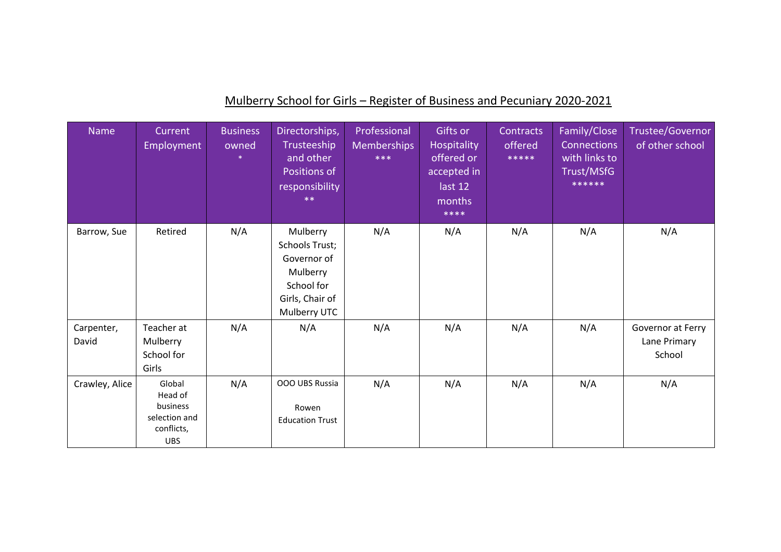| <b>Name</b>         | Current<br>Employment                                                      | <b>Business</b><br>owned | Directorships,<br>Trusteeship<br>and other<br>Positions of<br>responsibility<br>$**$                   | Professional<br><b>Memberships</b><br>$***$ | Gifts or<br>Hospitality<br>offered or<br>accepted in<br>last 12<br>months<br>**** | Contracts<br>offered<br>***** | Family/Close<br><b>Connections</b><br>with links to<br>Trust/MSfG<br>****** | Trustee/Governor<br>of other school         |
|---------------------|----------------------------------------------------------------------------|--------------------------|--------------------------------------------------------------------------------------------------------|---------------------------------------------|-----------------------------------------------------------------------------------|-------------------------------|-----------------------------------------------------------------------------|---------------------------------------------|
| Barrow, Sue         | Retired                                                                    | N/A                      | Mulberry<br>Schools Trust;<br>Governor of<br>Mulberry<br>School for<br>Girls, Chair of<br>Mulberry UTC | N/A                                         | N/A                                                                               | N/A                           | N/A                                                                         | N/A                                         |
| Carpenter,<br>David | Teacher at<br>Mulberry<br>School for<br>Girls                              | N/A                      | N/A                                                                                                    | N/A                                         | N/A                                                                               | N/A                           | N/A                                                                         | Governor at Ferry<br>Lane Primary<br>School |
| Crawley, Alice      | Global<br>Head of<br>business<br>selection and<br>conflicts,<br><b>UBS</b> | N/A                      | OOO UBS Russia<br>Rowen<br><b>Education Trust</b>                                                      | N/A                                         | N/A                                                                               | N/A                           | N/A                                                                         | N/A                                         |

## Mulberry School for Girls – Register of Business and Pecuniary 2020-2021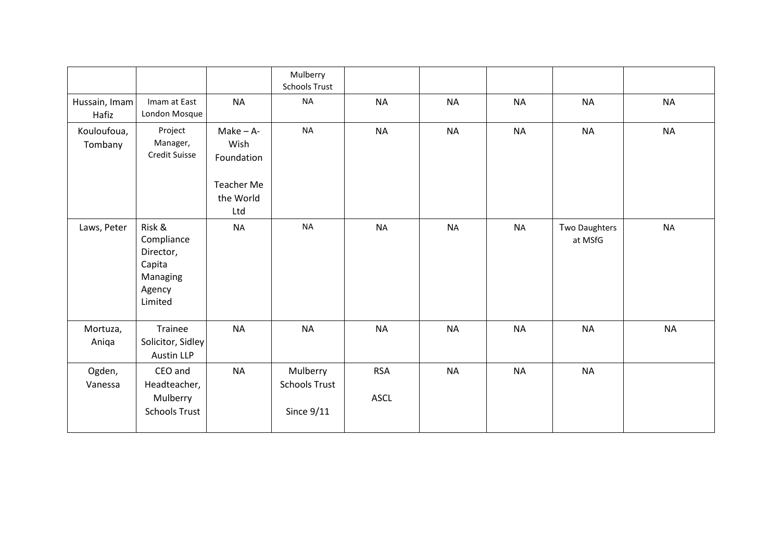|                        |                                                                              |                                                                            | Mulberry<br><b>Schools Trust</b>                 |                           |           |           |                          |           |
|------------------------|------------------------------------------------------------------------------|----------------------------------------------------------------------------|--------------------------------------------------|---------------------------|-----------|-----------|--------------------------|-----------|
| Hussain, Imam<br>Hafiz | Imam at East<br>London Mosque                                                | <b>NA</b>                                                                  | <b>NA</b>                                        | <b>NA</b>                 | <b>NA</b> | <b>NA</b> | <b>NA</b>                | <b>NA</b> |
| Kouloufoua,<br>Tombany | Project<br>Manager,<br><b>Credit Suisse</b>                                  | $Make - A-$<br>Wish<br>Foundation<br><b>Teacher Me</b><br>the World<br>Ltd | <b>NA</b>                                        | <b>NA</b>                 | <b>NA</b> | <b>NA</b> | <b>NA</b>                | <b>NA</b> |
| Laws, Peter            | Risk &<br>Compliance<br>Director,<br>Capita<br>Managing<br>Agency<br>Limited | <b>NA</b>                                                                  | <b>NA</b>                                        | <b>NA</b>                 | <b>NA</b> | <b>NA</b> | Two Daughters<br>at MSfG | <b>NA</b> |
| Mortuza,<br>Aniqa      | Trainee<br>Solicitor, Sidley<br><b>Austin LLP</b>                            | <b>NA</b>                                                                  | <b>NA</b>                                        | <b>NA</b>                 | <b>NA</b> | <b>NA</b> | <b>NA</b>                | <b>NA</b> |
| Ogden,<br>Vanessa      | CEO and<br>Headteacher,<br>Mulberry<br><b>Schools Trust</b>                  | <b>NA</b>                                                                  | Mulberry<br><b>Schools Trust</b><br>Since $9/11$ | <b>RSA</b><br><b>ASCL</b> | <b>NA</b> | <b>NA</b> | <b>NA</b>                |           |